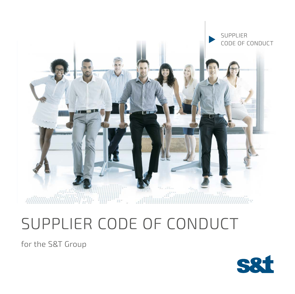

# SUPPLIER CODE OF CONDUCT

for the S&T Group

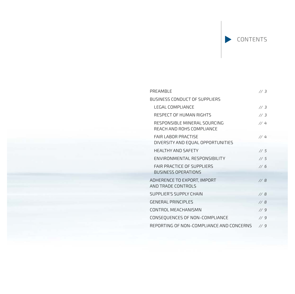CONTENTS

| PREAMBLE                                                        | 1/3 |
|-----------------------------------------------------------------|-----|
| BUSINESS CONDUCT OF SUPPLIERS                                   |     |
| <b>LEGAL COMPLIANCE</b>                                         | 1/3 |
| RESPECT OF HUMAN RIGHTS                                         | 1/3 |
| RESPONSIBLE MINERAL SOURCING<br>REACH AND ROHS COMPLIANCE       | 1/4 |
| <b>FAIR LABOR PRACTISE</b><br>DIVERSITY AND EQUAL OPPORTUNITIES | 1/4 |
| <b>HEALTHY AND SAFETY</b>                                       | 1/5 |
| ENVIRONMENTAL RESPONSIBILITY                                    | 1/5 |
| <b>FAIR PRACTICE OF SUPPLIERS</b><br><b>BUSINESS OPERATIONS</b> | 1/6 |
| ADHERENCE TO EXPORT, IMPORT<br>AND TRADE CONTROLS               | 1/8 |
| SUPPLIER'S SUPPLY CHAIN                                         | 1/8 |
| <b>GENERAL PRINCIPLES</b>                                       | 1/8 |
| CONTROL MEACHANISMN                                             | 1/9 |
| CONSEQUENCES OF NON-COMPLIANCE                                  | 1/9 |
| REPORTING OF NON-COMPLIANCE AND CONCERNS                        | 1/9 |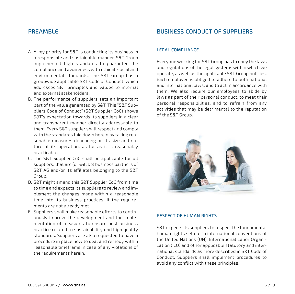## PREAMBLE

- A. A key priority for S&T is conducting its business in a responsible and sustainable manner. S&T Group implemented high standards to guarantee the compliance and awareness with ethical, social and environmental standards. The S&T Group has a groupwide applicable S&T Code of Conduct, which addresses S&T principles and values to internal and external stakeholders.
- B. The performance of suppliers sets an important part of the value generated by S&T. This "S&T Suppliers Code of Conduct" (S&T Supplier CoC) shows S&T's expectation towards its suppliers in a clear and transparent manner directly addressable to them. Every S&T supplier shall respect and comply with the standards laid down herein by taking reasonable measures depending on its size and nature of its operation, as far as it is reasonably practicable.
- C. The S&T Supplier CoC shall be applicable for all suppliers, that are (or will be) business partners of S&T AG and/or its affiliates belonging to the S&T Group.
- D. S&T might amend this S&T Supplier CoC from time to time and expects its suppliers to review and implement the changes made within a reasonable time into its business practices, if the requirements are not already met.
- E. Suppliers shall make reasonable efforts to continuously improve the development and the implementation of measures to ensure best business practice related to sustainability und high quality standards. Suppliers are also requested to have a procedure in place how to deal and remedy within reasonable timeframe in case of any violations of the requirements herein.

# BUSINESS CONDUCT OF SUPPLIERS

#### LEGAL COMPLIANCE

Everyone working for S&T Group has to obey the laws and regulations of the legal systems within which we operate, as well as the applicable S&T Group policies. Each employee is obliged to adhere to both national and international laws, and to act in accordance with them. We also require our employees to abide by laws as part of their personal conduct, to meet their personal responsibilities, and to refrain from any activities that may be detrimental to the reputation of the S&T Group.



#### RESPECT OF HUMAN RIGHTS

S&T expects its suppliers to respect the fundamental human rights set out in international conventions of the United Nations (UN), International Labor Organization (ILO) and other applicable statutory and international standards as more described in S&T Code of Conduct. Suppliers shall implement procedures to avoid any conflict with these principles.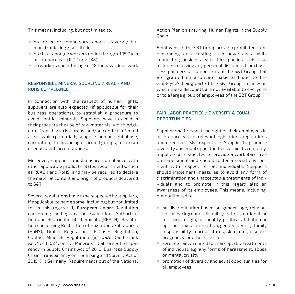This means, including, but not limited to:

- ▶ no forced or compulsory labor / slavery / human-trafficking / servitude
- ▶ no child labor (no workers under the age of 15/14 in accordance with ILO Conv. 138)
- no workers under the age of 18 for hazardous work

#### RESPONSIBLE MINERAL SOURCING / REACH AND ROHS COMPLIANCE

In connection with the respect of human rights, suppliers are also expected (if applicable for their business operations), to establish a procedure to avoid conflict minerals. Suppliers have to avoid in their products the use of raw materials, which originate from high-risk areas and/or conflict-affected areas, which potentially supports human right abuse, corruption, the financing of armed groups, terrorism or equivalent circumstances.

Moreover, suppliers must ensure compliance with other applicable product-related requirements, such as REACH and RoHS, and may be required to declare the material content and origin of products delivered to S&T.

Several regulations have to be respected by suppliers, if applicable, to name some (including; but not limited to) in this regard: (i) European Union: Regulation concerning the Registration, Evaluation, Authorization and Restriction of Chemicals (REACH), Regulation concerning Restriction of Hazardous Substances (RoHS), Timber Regulation, F-Gases Regulation, Conflict Minerals Regulation; (ii) USA: Dodd-Frank Act, Sec 1502 "Conflict Minerals", California Transparency in Supply Chains Act of 2010, Business Supply Chain, Transparency on Trafficking and Slavery Act of 2015; (iii) Germany: Requirements out of the National

Action Plan on ensuring Human Rights in the Supply Chain.

Employees of the S&T Group are also prohibited from demanding or accepting such advantages while conducting business with third parties. This also includes receiving any personal discounts from business partners or competitors of the S&T Group that are granted on a private basis and due to the employee's being part of the S&T Group, in cases in which these discounts are not available to everyone or to a large group of employees of the S&T Group.

#### FAIR LABOR PRACTICE / DIVERSITY & EQUAL **OPPORTUNITIES**

Supplier shall respect the right of their employees in accordance with all relevant legislations, regulations and directives. S&T expects its Supplier to promote diversity and equal opportunities within its company. Suppliers are expected to provide a workplace free on harassment and should foster a social environment with respect for all individuals. Suppliers should implement measures to avoid any form of discrimination and unacceptable treatments of individuals and to promote in this regard also an awareness of its employees. This means, including, but not limited to:

- ▶ no discrimination based on gender, age, religion, social background, disability, ethnic, national or territorial origin, nationality, political affiliation or opinion, sexual orientation, gender identity, family responsibility, marital status, skin color, disease, pregnancy, or other criteria
- **Exero tolerance related to unacceptable treatments** of individual, e.g. any forms of harassment, abuse or mental cruelty
- $\blacktriangleright$  promotion of diversity and equal opportunities for all employees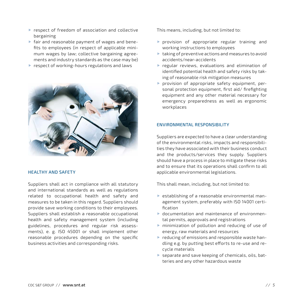- **P** respect of freedom of association and collective bargaining
- fair and reasonable payment of wages and benefits to employees (in respect of applicable minimum wages by law; collective bargaining agreements and industry standards as the case may be)
- ▶ respect of working-hours regulations and laws



#### HEALTHY AND SAFETY

Suppliers shall act in compliance with all statutory and international standards as well as regulations related to occupational health and safety and measures to be taken in this regard. Suppliers should provide save working conditions to their employees. Suppliers shall establish a reasonable occupational health and safety management system (including guidelines, procedures and regular risk assessments), e. g. ISO 45001 or shall implement other reasonable procedures depending on the specific business activities and corresponding risks.

This means, including, but not limited to:

- $\blacktriangleright$  provision of appropriate regular training and working instructions to employees
- $\blacktriangleright$  taking of preventive actions and measures to avoid accidents/near-accidents
- regular reviews, evaluations and elimination of identified potential health and safety risks by taking of reasonable risk mitigation measures
- $\blacktriangleright$  provision of appropriate safety equipment, personal protection equipment, first aid/ firefighting equipment and any other material necessary for emergency preparedness as well as ergonomic workplaces

#### ENVIRONMENTAL RESPONSIBILITY

Suppliers are expected to have a clear understanding of the environmental risks, impacts and responsibilities they have associated with their business conduct and the products/services they supply. Suppliers should have a process in place to mitigate these risks and to ensure that its operations shall confirm to all applicable environmental legislations.

This shall mean, including, but not limited to:

- ▶ establishing of a reasonable environmental management system, preferably with ISO 14001 certification
- documentation and maintenance of environmental permits, approvals and registrations
- minimization of pollution and reducing of use of energy, raw materials and resources
- $\blacktriangleright$  reducing of emissions and responsible waste handling e.g. by putting best efforts to re-use and recycle materials
- separate and save keeping of chemicals, oils, batteries and any other hazardous waste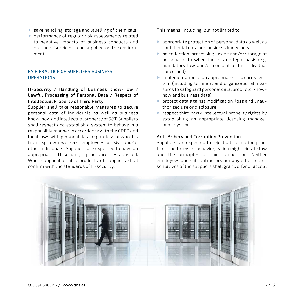- $\blacktriangleright$  save handling, storage and labelling of chemicals
- performance of regular risk assessments related to negative impacts of business conducts and products/services to be supplied on the environment

#### FAIR PRACTICE OF SUPPLIERS BUSINESS **OPERATIONS**

### IT-Security / Handling of Business Know-How / Lawful Processing of Personal Data / Respect of Intellectual Property of Third Party

Supplier shall take reasonable measures to secure personal data of individuals as well as business know-how and intellectual property of S&T. Suppliers shall respect and establish a system to behave in a responsible manner in accordance with the GDPR and local laws with personal data, regardless of who it is from e.g. own workers, employees of S&T and/or other individuals. Suppliers are expected to have an appropriate IT-security procedure established. Where applicable, also products of suppliers shall confirm with the standards of IT-security.

This means, including, but not limited to:

- $\blacktriangleright$  appropriate protection of personal data as well as confidential data and business know-how
- no collection, processing, usage and/or storage of personal data when there is no legal basis (e.g. mandatory law and/or consent of the individual concerned)
- implementation of an appropriate IT-security system (including technical and organizational measures to safeguard personal data, products, knowhow and business data)
- protect data against modification, loss and unauthorized use or disclosure
- respect third party intellectual property rights by establishing an appropriate licensing management system.

#### Anti-Bribery and Corruption Prevention

Suppliers are expected to reject all corruption practices and forms of behavior, which might violate law and the principles of fair competition. Neither employees and subcontractors nor any other representatives of the suppliers shall grant, offer or accept

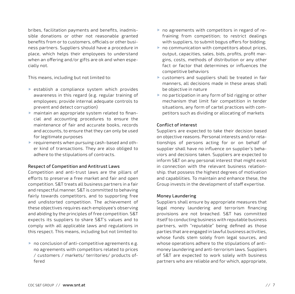bribes, facilitation payments and benefits, inadmissible donations or other not reasonable granted benefits from or to customers, officials or other business partners. Suppliers should have a procedure in place, which helps their employees to understand when an offering and/or gifts are ok and when especially not.

This means, including but not limited to:

- **Executive Executer System which provides** awareness in this regard (e.g. regular training of employees; provide internal adequate controls to prevent and detect corruption)
- maintain an appropriate system related to financial and accounting procedures to ensure the maintenance of fair and accurate books, records and accounts, to ensure that they can only be used for legitimate purposes
- requirements when pursuing cash-based and other kind of transactions. They are also obliged to adhere to the stipulations of contracts.

#### Respect of Competition and Antitrust Laws

Competition and anti-trust laws are the pillars of efforts to preserve a free market and fair and open competition. S&T treats all business partners in a fair and respectful manner. S&T is committed to behaving fairly towards competitors, and to supporting free and undistorted competition. The achievement of these objectives requires each employee's observing and abiding by the principles of free competition. S&T expects its suppliers to share S&T's values and to comply with all applicable laws and regulations in this respect. This means, including but not limited to:

no conclusion of anti-competitive agreements e.g. no agreements with competitors related to prices / customers / markets/ territories/ products offered

- ▶ no agreements with competitors in regard of refraining from competition; to restrict dealings with suppliers, to submit bogus offers for bidding;
- $\triangleright$  no communication with competitors about prices, output, capacities, sales, bids, profits, profit margins, costs, methods of distribution or any other fact or factor that determines or influences the competitive behaviors
- customers and suppliers shall be treated in fair manners, all decisions made in these areas shall be objective in nature
- ▶ no participation in any form of bid rigging or other mechanism that limit fair competition in tender situations, any form of cartel practices with competitors such as dividing or allocating of markets

#### Conflict of interest

Suppliers are expected to take their decision based on objective reasons. Personal interests and/or relationships of persons acting for or on behalf of supplier shall have no influence on supplier's behaviors and decisions taken. Suppliers are expected to inform S&T on any personal interest that might exist in connection with the relevant business relationship. that possess the highest degrees of motivation and capabilities. To maintain and enhance these, the Group invests in the development of staff expertise.

#### Money Laundering

Suppliers shall ensure by appropriate measures that legal money laundering and terrorism financing provisions are not breached. S&T has committed itself to conducting business with reputable business partners, with "reputable" being defined as those parties that are engaged in lawful business activities, whose funds stem solely from legal sources, and whose operations adhere to the stipulations of antimoney laundering and anti-terrorism laws. Suppliers of S&T are expected to work solely with business partners who are reliable and for which, appropriate,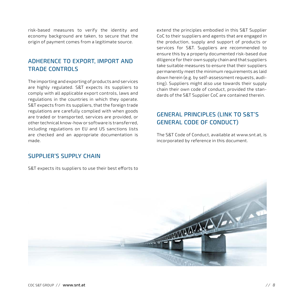risk-based measures to verify the identity and economy background are taken, to secure that the origin of payment comes from a legitimate source.

# ADHERENCE TO EXPORT, IMPORT AND TRADE CONTROLS

The importing and exporting of products and services are highly regulated. S&T expects its suppliers to comply with all applicable export controls, laws and regulations in the countries in which they operate. S&T expects from its suppliers, that the foreign trade regulations are carefully complied with when goods are traded or transported, services are provided, or other technical know-how or software is transferred, including regulations on EU and US sanctions lists are checked and an appropriate documentation is made.

SUPPLIER'S SUPPLY CHAIN

S&T expects its suppliers to use their best efforts to

extend the principles embodied in this S&T Supplier CoC to their suppliers and agents that are engaged in the production, supply and support of products or services for S&T. Suppliers are recommended to ensure this by a properly documented risk-based due diligence for their own supply chain and that suppliers take suitable measures to ensure that their suppliers permanently meet the minimum requirements as laid down herein (e.g. by self-assessment requests, auditing). Suppliers might also use towards their supply chain their own code of conduct, provided the standards of the S&T Supplier CoC are contained therein.

# GENERAL PRINCIPLES (LINK TO S&T'S GENERAL CODE OF CONDUCT)

The S&T Code of Conduct, available at www.snt.at, is incorporated by reference in this document.

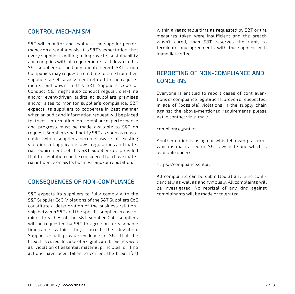## CONTROL MECHANISM

S&T will monitor and evaluate the supplier performance on a regular basis. It is S&T's expectation, that every supplier is willing to improve its sustainability and complies with all requirements laid down in this S&T supplier CoC and any update hereof. S&T Group Companies may request from time to time from their suppliers a self-assessment related to the requirements laid down in this S&T Suppliers Code of Conduct. S&T might also conduct regular, one-time and/or event-driven audits at suppliers premises and/or sites to monitor supplier's compliance. S&T expects its suppliers to cooperate in best manner when an audit and information request will be placed to them. Information on compliance performance and progress must be made available to S&T on request. Suppliers shall notify S&T as soon as reasonable, when suppliers become aware of existing violations of applicable laws, regulations and material requirements of this S&T Supplier CoC provided that this violation can be considered to a have material influence on S&T's business and/or reputation.

## CONSEQUENCES OF NON-COMPLIANCE

S&T expects its suppliers to fully comply with the S&T Supplier CoC. Violations of the S&T Suppliers CoC constitute a deterioration of the business relationship between S&T and the specific supplier. In case of minor breaches of the S&T Supplier CoC, suppliers will be requested by S&T to agree on a reasonable timeframe within they correct the deviation. Suppliers shall provide evidence to S&T that the breach is cured. In case of a significant breaches well as violation of essential material principles, or if no actions have been taken to correct the breach(es) within a reasonable time as requested by S&T or the measures taken were insufficient and the breach wasn't cured, than S&T reserves the right, to terminate any agreements with the supplier with immediate effect.

# REPORTING OF NON-COMPLIANCE AND **CONCERNS**

Everyone is entitled to report cases of contraventions of compliance regulations, proven or suspected. In ace of (possible) violations in the supply chain against the above-mentioned requirements please get in contact via e-mail:

#### compliance@snt.at

Another option is using our whistleblower platform, which is maintained on S&T's website and which is available under:

#### https://compliance.snt.at

All complaints can be submitted at any time confidentially as well as anonymously. All complaints will be investigated. No reprisal of any kind against complainants will be made or tolerated.